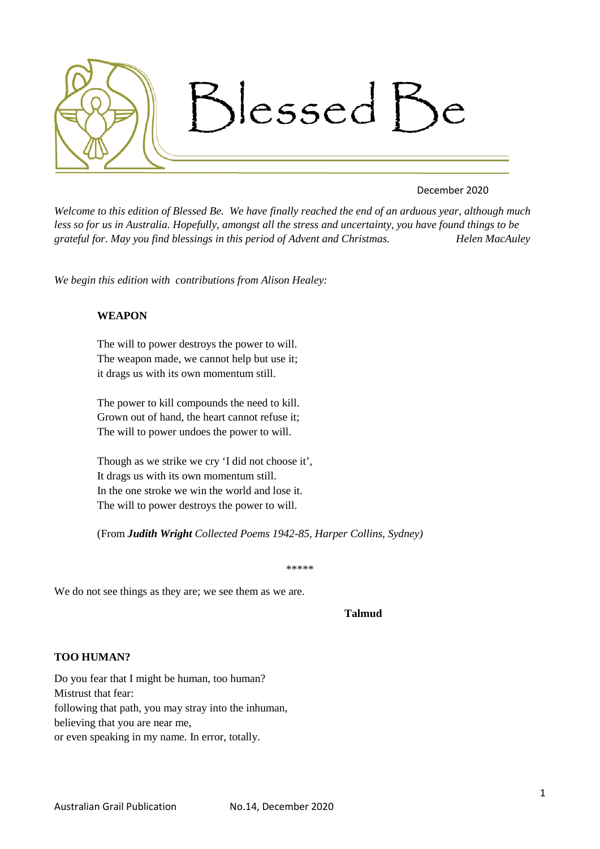

## December 2020

*Welcome to this edition of Blessed Be. We have finally reached the end of an arduous year, although much less so for us in Australia. Hopefully, amongst all the stress and uncertainty, you have found things to be grateful for. May you find blessings in this period of Advent and Christmas. Helen MacAuley*

*We begin this edition with contributions from Alison Healey:*

# **WEAPON**

The will to power destroys the power to will. The weapon made, we cannot help but use it; it drags us with its own momentum still.

The power to kill compounds the need to kill. Grown out of hand, the heart cannot refuse it; The will to power undoes the power to will.

Though as we strike we cry 'I did not choose it', It drags us with its own momentum still. In the one stroke we win the world and lose it. The will to power destroys the power to will.

(From *Judith Wright Collected Poems 1942-85, Harper Collins, Sydney)*

\*\*\*\*\*

We do not see things as they are; we see them as we are.

#### **Talmud**

## **TOO HUMAN?**

Do you fear that I might be human, too human? Mistrust that fear: following that path, you may stray into the inhuman, believing that you are near me, or even speaking in my name. In error, totally.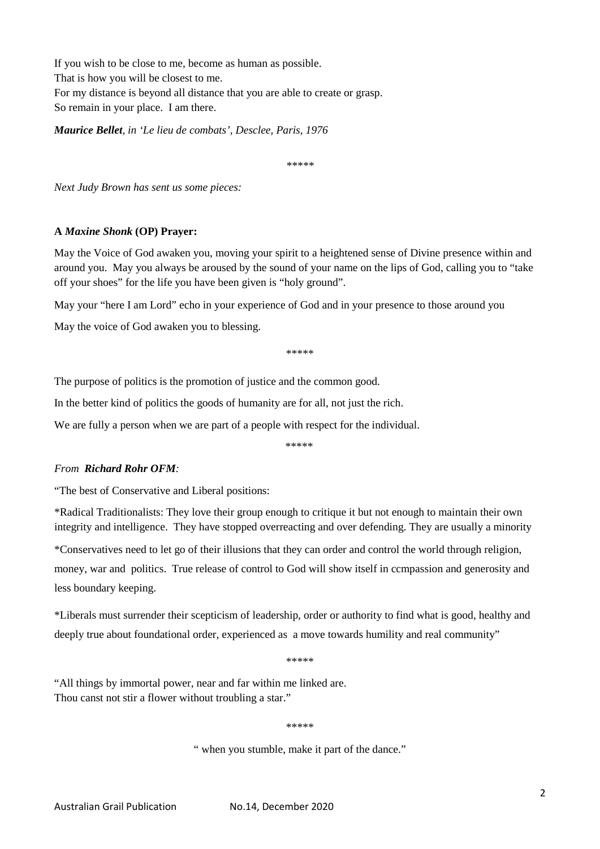If you wish to be close to me, become as human as possible. That is how you will be closest to me. For my distance is beyond all distance that you are able to create or grasp. So remain in your place. I am there.

*Maurice Bellet, in 'Le lieu de combats', Desclee, Paris, 1976*

*\*\*\*\*\**

*Next Judy Brown has sent us some pieces:*

## **A** *Maxine Shonk* **(OP) Prayer:**

May the Voice of God awaken you, moving your spirit to a heightened sense of Divine presence within and around you. May you always be aroused by the sound of your name on the lips of God, calling you to "take off your shoes" for the life you have been given is "holy ground".

May your "here I am Lord" echo in your experience of God and in your presence to those around you

May the voice of God awaken you to blessing.

\*\*\*\*\*

The purpose of politics is the promotion of justice and the common good.

In the better kind of politics the goods of humanity are for all, not just the rich.

We are fully a person when we are part of a people with respect for the individual.

\*\*\*\*\*

## *From Richard Rohr OFM:*

"The best of Conservative and Liberal positions:

\*Radical Traditionalists: They love their group enough to critique it but not enough to maintain their own integrity and intelligence. They have stopped overreacting and over defending. They are usually a minority

\*Conservatives need to let go of their illusions that they can order and control the world through religion, money, war and politics. True release of control to God will show itself in ccmpassion and generosity and

less boundary keeping.

\*Liberals must surrender their scepticism of leadership, order or authority to find what is good, healthy and deeply true about foundational order, experienced as a move towards humility and real community"

\*\*\*\*\*

"All things by immortal power, near and far within me linked are. Thou canst not stir a flower without troubling a star."

\*\*\*\*\*

" when you stumble, make it part of the dance."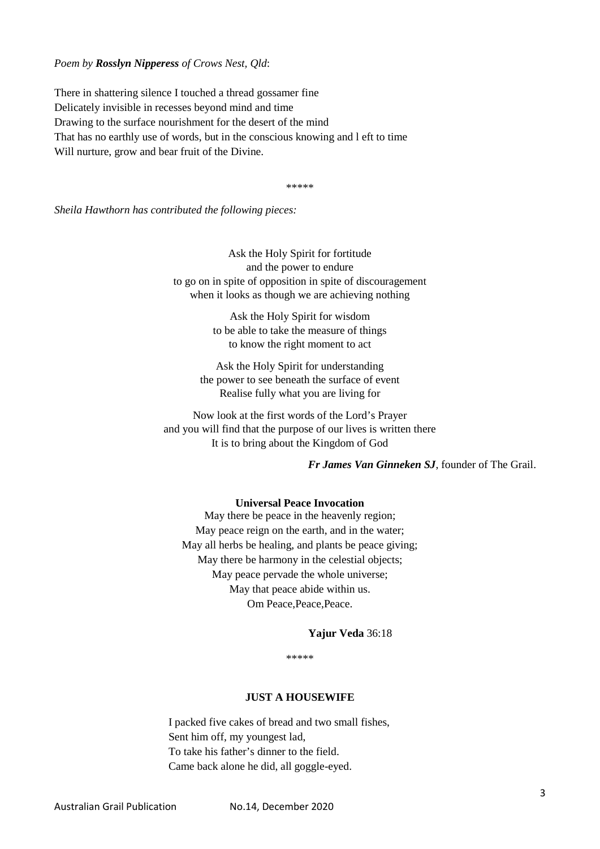#### *Poem by Rosslyn Nipperess of Crows Nest, Qld*:

There in shattering silence I touched a thread gossamer fine Delicately invisible in recesses beyond mind and time Drawing to the surface nourishment for the desert of the mind That has no earthly use of words, but in the conscious knowing and l eft to time Will nurture, grow and bear fruit of the Divine.

\*\*\*\*\*

*Sheila Hawthorn has contributed the following pieces:*

Ask the Holy Spirit for fortitude and the power to endure to go on in spite of opposition in spite of discouragement when it looks as though we are achieving nothing

> Ask the Holy Spirit for wisdom to be able to take the measure of things to know the right moment to act

Ask the Holy Spirit for understanding the power to see beneath the surface of event Realise fully what you are living for

Now look at the first words of the Lord's Prayer and you will find that the purpose of our lives is written there It is to bring about the Kingdom of God

*Fr James Van Ginneken SJ*, founder of The Grail.

#### **Universal Peace Invocation**

May there be peace in the heavenly region; May peace reign on the earth, and in the water; May all herbs be healing, and plants be peace giving; May there be harmony in the celestial objects; May peace pervade the whole universe; May that peace abide within us. Om Peace, Peace, Peace.

#### **Yajur Veda** 36:18

\*\*\*\*\*

#### **JUST A HOUSEWIFE**

I packed five cakes of bread and two small fishes, Sent him off, my youngest lad, To take his father's dinner to the field. Came back alone he did, all goggle-eyed.